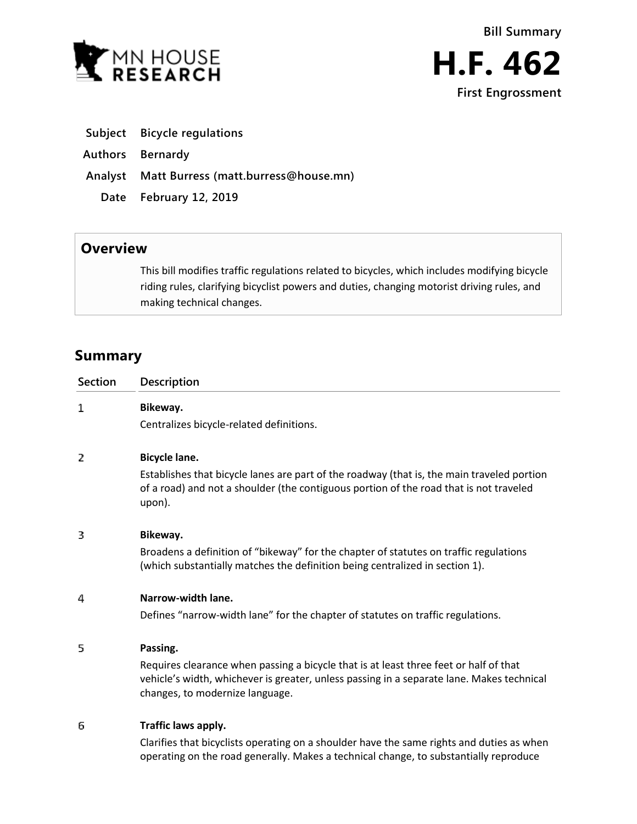

- **Subject Bicycle regulations**
- **Authors Bernardy**
- **Analyst Matt Burress (matt.burress@house.mn)**
	- **Date February 12, 2019**

## **Overview**

This bill modifies traffic regulations related to bicycles, which includes modifying bicycle riding rules, clarifying bicyclist powers and duties, changing motorist driving rules, and making technical changes.

# **Summary**

| Section | Description                                                                                                                                                                                                           |
|---------|-----------------------------------------------------------------------------------------------------------------------------------------------------------------------------------------------------------------------|
| 1       | Bikeway.<br>Centralizes bicycle-related definitions.                                                                                                                                                                  |
|         |                                                                                                                                                                                                                       |
| 2       | <b>Bicycle lane.</b>                                                                                                                                                                                                  |
|         | Establishes that bicycle lanes are part of the roadway (that is, the main traveled portion<br>of a road) and not a shoulder (the contiguous portion of the road that is not traveled<br>upon).                        |
| 3       | Bikeway.                                                                                                                                                                                                              |
|         | Broadens a definition of "bikeway" for the chapter of statutes on traffic regulations<br>(which substantially matches the definition being centralized in section 1).                                                 |
| 4       | Narrow-width lane.                                                                                                                                                                                                    |
|         | Defines "narrow-width lane" for the chapter of statutes on traffic regulations.                                                                                                                                       |
| 5       | Passing.                                                                                                                                                                                                              |
|         | Requires clearance when passing a bicycle that is at least three feet or half of that<br>vehicle's width, whichever is greater, unless passing in a separate lane. Makes technical<br>changes, to modernize language. |
| 6       | Traffic laws apply.                                                                                                                                                                                                   |
|         | ومارور متحافظ والمسترين وعواماته ومرمون وماعروها والمراوية والمرمون ومستحدث ومحافظته والمتحالة والمتحالة والمتحال                                                                                                     |

Clarifies that bicyclists operating on a shoulder have the same rights and duties as when operating on the road generally. Makes a technical change, to substantially reproduce